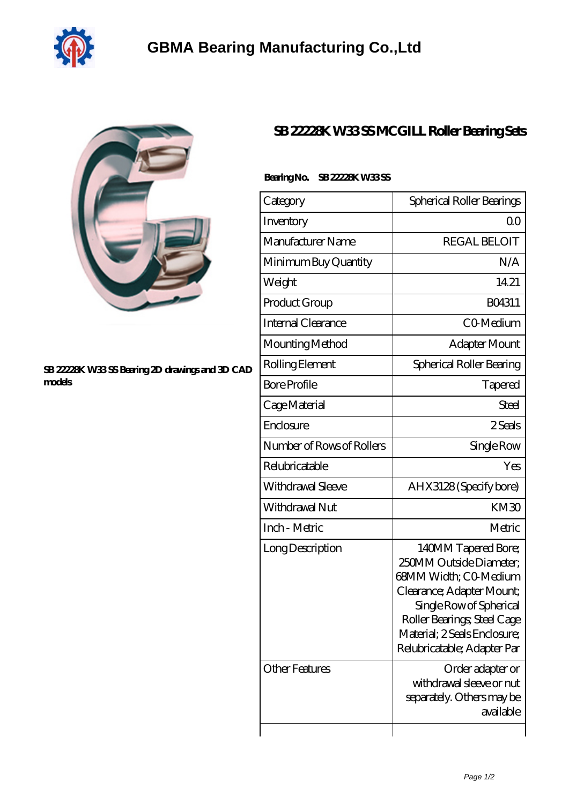



## **[SB 22228K W33 SS Bearing 2D drawings and 3D CAD](https://dogwooddreams.com/pic-635888.html) [models](https://dogwooddreams.com/pic-635888.html)**

## **[SB 22228K W33 SS MCGILL Roller Bearing Sets](https://dogwooddreams.com/roller-bearing-sets/sb-22228k-w33-ss.html)**

| Category<br>Inventory<br>Manufacturer Name<br>Minimum Buy Quantity<br>Weight<br>Product Group<br><b>Internal Clearance</b><br>Mounting Method<br>Rolling Element<br><b>Bore Profile</b><br>Cage Material<br>Enclosure<br>Number of Rows of Rollers<br>Relubricatable<br>Withdrawal Sleeve<br>Withdrawal Nut<br>Inch - Metric<br>Long Description<br><b>Other Features</b> |                                                                                                                                                                                                                               |
|---------------------------------------------------------------------------------------------------------------------------------------------------------------------------------------------------------------------------------------------------------------------------------------------------------------------------------------------------------------------------|-------------------------------------------------------------------------------------------------------------------------------------------------------------------------------------------------------------------------------|
|                                                                                                                                                                                                                                                                                                                                                                           | Spherical Roller Bearings                                                                                                                                                                                                     |
|                                                                                                                                                                                                                                                                                                                                                                           | Q0                                                                                                                                                                                                                            |
|                                                                                                                                                                                                                                                                                                                                                                           | <b>REGAL BELOIT</b>                                                                                                                                                                                                           |
|                                                                                                                                                                                                                                                                                                                                                                           | N/A                                                                                                                                                                                                                           |
|                                                                                                                                                                                                                                                                                                                                                                           | 14.21                                                                                                                                                                                                                         |
|                                                                                                                                                                                                                                                                                                                                                                           | BO4311                                                                                                                                                                                                                        |
|                                                                                                                                                                                                                                                                                                                                                                           | CO-Medium                                                                                                                                                                                                                     |
|                                                                                                                                                                                                                                                                                                                                                                           | Adapter Mount                                                                                                                                                                                                                 |
|                                                                                                                                                                                                                                                                                                                                                                           | Spherical Roller Bearing                                                                                                                                                                                                      |
|                                                                                                                                                                                                                                                                                                                                                                           | Tapered                                                                                                                                                                                                                       |
|                                                                                                                                                                                                                                                                                                                                                                           | Steel                                                                                                                                                                                                                         |
|                                                                                                                                                                                                                                                                                                                                                                           | 2.Seals                                                                                                                                                                                                                       |
|                                                                                                                                                                                                                                                                                                                                                                           | Single Row                                                                                                                                                                                                                    |
|                                                                                                                                                                                                                                                                                                                                                                           | Yes                                                                                                                                                                                                                           |
|                                                                                                                                                                                                                                                                                                                                                                           | AHX3128 (Specify bore)                                                                                                                                                                                                        |
|                                                                                                                                                                                                                                                                                                                                                                           | KM30                                                                                                                                                                                                                          |
|                                                                                                                                                                                                                                                                                                                                                                           | Metric                                                                                                                                                                                                                        |
|                                                                                                                                                                                                                                                                                                                                                                           | 140MM Tapered Bore;<br>250MM Outside Diameter;<br>68MM Width; CO-Medium<br>Clearance; Adapter Mount;<br>Single Row of Spherical<br>Roller Bearings; Steel Cage<br>Material; 2 Seals Enclosure;<br>Relubricatable; Adapter Par |
|                                                                                                                                                                                                                                                                                                                                                                           | Order adapter or<br>withdrawal sleeve or nut<br>separately. Others may be<br>available                                                                                                                                        |